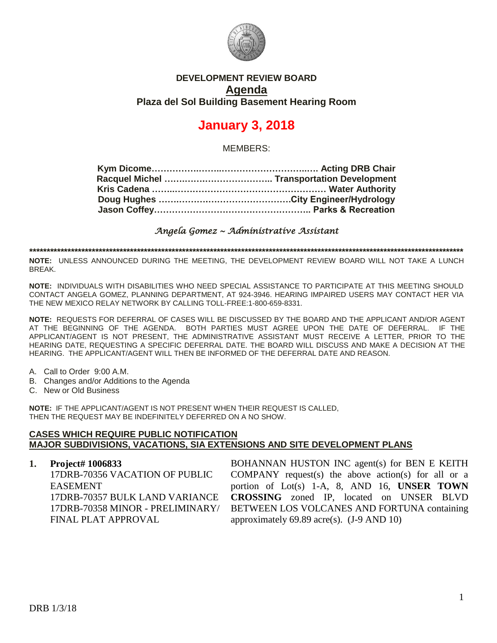

# **DEVELOPMENT REVIEW BOARD Agenda Plaza del Sol Building Basement Hearing Room**

# **January 3, 2018**

MEMBERS:

*Angela Gomez ~ Administrative Assistant* 

**\*\*\*\*\*\*\*\*\*\*\*\*\*\*\*\*\*\*\*\*\*\*\*\*\*\*\*\*\*\*\*\*\*\*\*\*\*\*\*\*\*\*\*\*\*\*\*\*\*\*\*\*\*\*\*\*\*\*\*\*\*\*\*\*\*\*\*\*\*\*\*\*\*\*\*\*\*\*\*\*\*\*\*\*\*\*\*\*\*\*\*\*\*\*\*\*\*\*\*\*\*\*\*\*\*\*\*\*\*\*\*\*\*\*\*\*\*\*\*\*\*\*\*\*\***

**NOTE:** UNLESS ANNOUNCED DURING THE MEETING, THE DEVELOPMENT REVIEW BOARD WILL NOT TAKE A LUNCH BREAK.

**NOTE:** INDIVIDUALS WITH DISABILITIES WHO NEED SPECIAL ASSISTANCE TO PARTICIPATE AT THIS MEETING SHOULD CONTACT ANGELA GOMEZ, PLANNING DEPARTMENT, AT 924-3946. HEARING IMPAIRED USERS MAY CONTACT HER VIA THE NEW MEXICO RELAY NETWORK BY CALLING TOLL-FREE:1-800-659-8331.

**NOTE:** REQUESTS FOR DEFERRAL OF CASES WILL BE DISCUSSED BY THE BOARD AND THE APPLICANT AND/OR AGENT AT THE BEGINNING OF THE AGENDA. BOTH PARTIES MUST AGREE UPON THE DATE OF DEFERRAL. IF THE APPLICANT/AGENT IS NOT PRESENT, THE ADMINISTRATIVE ASSISTANT MUST RECEIVE A LETTER, PRIOR TO THE HEARING DATE, REQUESTING A SPECIFIC DEFERRAL DATE. THE BOARD WILL DISCUSS AND MAKE A DECISION AT THE HEARING. THE APPLICANT/AGENT WILL THEN BE INFORMED OF THE DEFERRAL DATE AND REASON.

- A. Call to Order 9:00 A.M.
- B. Changes and/or Additions to the Agenda
- C. New or Old Business

**NOTE:** IF THE APPLICANT/AGENT IS NOT PRESENT WHEN THEIR REQUEST IS CALLED, THEN THE REQUEST MAY BE INDEFINITELY DEFERRED ON A NO SHOW.

### **CASES WHICH REQUIRE PUBLIC NOTIFICATION MAJOR SUBDIVISIONS, VACATIONS, SIA EXTENSIONS AND SITE DEVELOPMENT PLANS**

**1. Project# 1006833** 17DRB-70356 VACATION OF PUBLIC EASEMENT 17DRB-70357 BULK LAND VARIANCE 17DRB-70358 MINOR - PRELIMINARY/ FINAL PLAT APPROVAL BOHANNAN HUSTON INC agent(s) for BEN E KEITH COMPANY request(s) the above action(s) for all or a portion of Lot(s) 1-A, 8, AND 16, **UNSER TOWN CROSSING** zoned IP, located on UNSER BLVD BETWEEN LOS VOLCANES AND FORTUNA containing approximately  $69.89$  acre(s). (J-9 AND 10)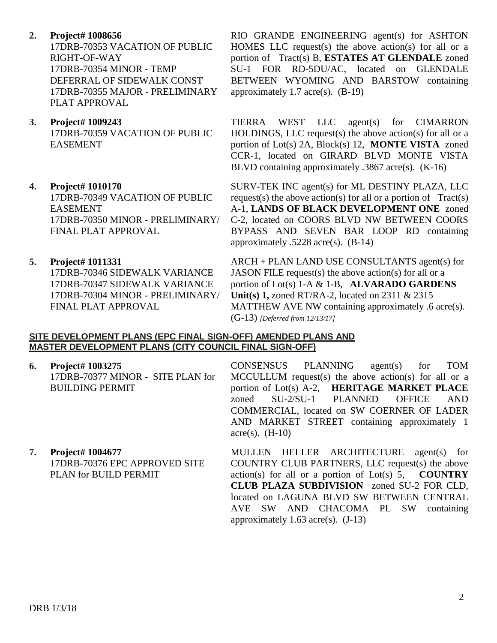**2. Project# 1008656**

17DRB-70353 VACATION OF PUBLIC RIGHT-OF-WAY 17DRB-70354 MINOR - TEMP DEFERRAL OF SIDEWALK CONST 17DRB-70355 MAJOR - PRELIMINARY PLAT APPROVAL

**3. Project# 1009243** 17DRB-70359 VACATION OF PUBLIC EASEMENT

# **4. Project# 1010170**

17DRB-70349 VACATION OF PUBLIC EASEMENT 17DRB-70350 MINOR - PRELIMINARY/ FINAL PLAT APPROVAL

## **5. Project# 1011331**

17DRB-70346 SIDEWALK VARIANCE 17DRB-70347 SIDEWALK VARIANCE 17DRB-70304 MINOR - PRELIMINARY/ FINAL PLAT APPROVAL

RIO GRANDE ENGINEERING agent(s) for ASHTON HOMES LLC request(s) the above action(s) for all or a portion of Tract(s) B, **ESTATES AT GLENDALE** zoned SU-1 FOR RD-5DU/AC, located on GLENDALE BETWEEN WYOMING AND BARSTOW containing approximately 1.7 acre(s). (B-19)

TIERRA WEST LLC agent(s) for CIMARRON HOLDINGS, LLC request(s) the above action(s) for all or a portion of Lot(s) 2A, Block(s) 12, **MONTE VISTA** zoned CCR-1, located on GIRARD BLVD MONTE VISTA BLVD containing approximately .3867 acre(s). (K-16)

SURV-TEK INC agent(s) for ML DESTINY PLAZA, LLC request(s) the above action(s) for all or a portion of  $Tract(s)$ A-1, **LANDS OF BLACK DEVELOPMENT ONE** zoned C-2, located on COORS BLVD NW BETWEEN COORS BYPASS AND SEVEN BAR LOOP RD containing approximately .5228 acre(s). (B-14)

ARCH + PLAN LAND USE CONSULTANTS agent(s) for JASON FILE request(s) the above action(s) for all or a portion of Lot(s) 1-A & 1-B, **ALVARADO GARDENS Unit(s) 1,** zoned RT/RA-2, located on 2311 & 2315 MATTHEW AVE NW containing approximately .6 acre(s). (G-13) *[Deferred from 12/13/17]*

#### **SITE DEVELOPMENT PLANS (EPC FINAL SIGN-OFF) AMENDED PLANS AND MASTER DEVELOPMENT PLANS (CITY COUNCIL FINAL SIGN-OFF)**

- **6. Project# 1003275** 17DRB-70377 MINOR - SITE PLAN for BUILDING PERMIT
- **7. Project# 1004677** 17DRB-70376 EPC APPROVED SITE PLAN for BUILD PERMIT

CONSENSUS PLANNING agent(s) for TOM MCCULLUM request(s) the above action(s) for all or a portion of Lot(s) A-2, **HERITAGE MARKET PLACE** zoned SU-2/SU-1 PLANNED OFFICE AND COMMERCIAL, located on SW COERNER OF LADER AND MARKET STREET containing approximately 1  $\text{acre}(s)$ . (H-10)

MULLEN HELLER ARCHITECTURE agent(s) for COUNTRY CLUB PARTNERS, LLC request(s) the above action(s) for all or a portion of Lot(s) 5, **COUNTRY CLUB PLAZA SUBDIVISION** zoned SU-2 FOR CLD, located on LAGUNA BLVD SW BETWEEN CENTRAL AVE SW AND CHACOMA PL SW containing approximately  $1.63$  acre(s).  $(J-13)$